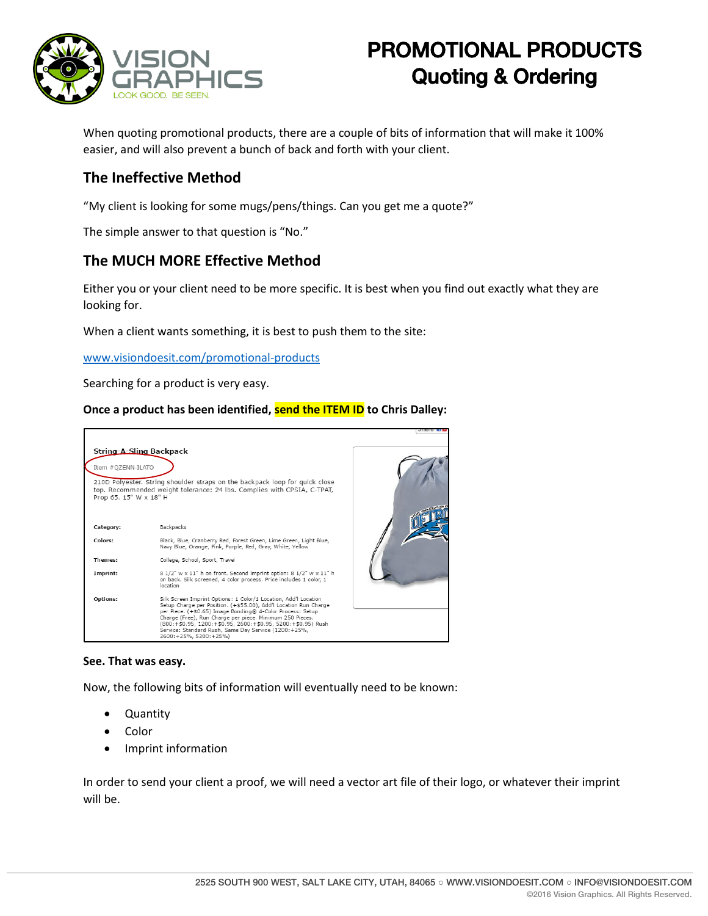

# PROMOTIONAL PRODUCTS Quoting & Ordering

When quoting promotional products, there are a couple of bits of information that will make it 100% easier, and will also prevent a bunch of back and forth with your client.

## **The Ineffective Method**

"My client is looking for some mugs/pens/things. Can you get me a quote?"

The simple answer to that question is "No."

## **The MUCH MORE Effective Method**

Either you or your client need to be more specific. It is best when you find out exactly what they are looking for.

When a client wants something, it is best to push them to the site:

[www.visiondoesit.com/promotional-products](http://www.visiondoesit.com/promotional-products)

Searching for a product is very easy.

### **Once a product has been identified, send the ITEM ID to Chris Dalley:**



#### **See. That was easy.**

Now, the following bits of information will eventually need to be known:

- **Quantity**
- Color
- Imprint information

In order to send your client a proof, we will need a vector art file of their logo, or whatever their imprint will be.